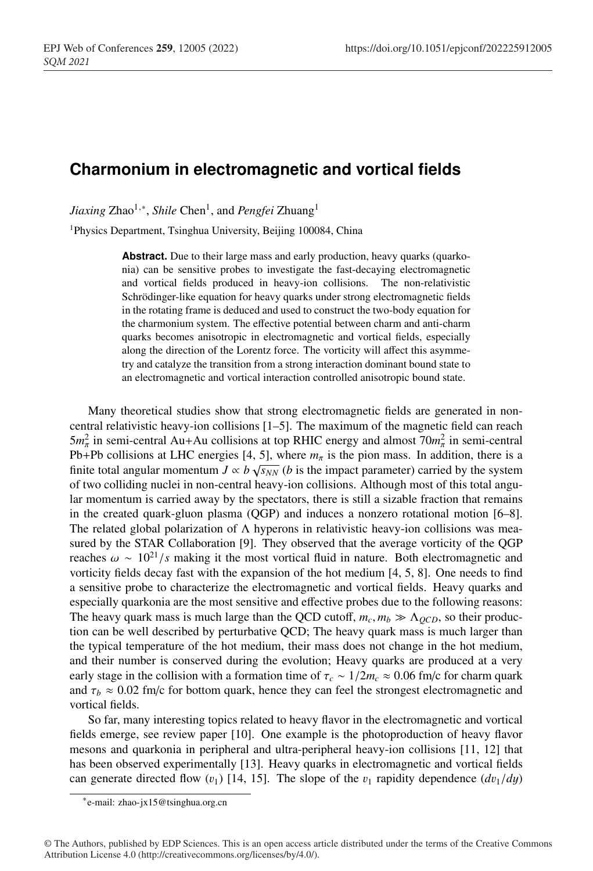## **Charmonium in electromagnetic and vortical fields**

*Jiaxing* Zhao<sup>1,∗</sup>, *Shile* Chen<sup>1</sup>, and *Pengfei* Zhuang<sup>1</sup>

1Physics Department, Tsinghua University, Beijing 100084, China

Abstract. Due to their large mass and early production, heavy quarks (quarkonia) can be sensitive probes to investigate the fast-decaying electromagnetic and vortical fields produced in heavy-ion collisions. The non-relativistic Schrödinger-like equation for heavy quarks under strong electromagnetic fields in the rotating frame is deduced and used to construct the two-body equation for the charmonium system. The effective potential between charm and anti-charm quarks becomes anisotropic in electromagnetic and vortical fields, especially along the direction of the Lorentz force. The vorticity will affect this asymmetry and catalyze the transition from a strong interaction dominant bound state to an electromagnetic and vortical interaction controlled anisotropic bound state.

Many theoretical studies show that strong electromagnetic fields are generated in noncentral relativistic heavy-ion collisions [1–5]. The maximum of the magnetic field can reach  $5m_{\pi}^2$  in semi-central Au+Au collisions at top RHIC energy and almost  $70m_{\pi}^2$  in semi-central Pb+Pb collisions at LHC energies [4, 5], where  $m<sub>\pi</sub>$  is the pion mass. In addition, there is a finite total angular momentum  $J \propto b \sqrt{s_{NN}}$  (*b* is the impact parameter) carried by the system of two colliding nuclei in non-central heavy-ion collisions. Although most of this total angular momentum is carried away by the spectators, there is still a sizable fraction that remains in the created quark-gluon plasma (QGP) and induces a nonzero rotational motion [6–8]. The related global polarization of  $\Lambda$  hyperons in relativistic heavy-ion collisions was measured by the STAR Collaboration [9]. They observed that the average vorticity of the QGP reaches  $\omega \sim 10^{21}/s$  making it the most vortical fluid in nature. Both electromagnetic and vorticity fields decay fast with the expansion of the hot medium [4, 5, 8]. One needs to find a sensitive probe to characterize the electromagnetic and vortical fields. Heavy quarks and especially quarkonia are the most sensitive and effective probes due to the following reasons: The heavy quark mass is much large than the QCD cutoff,  $m_c$ ,  $m_b \gg \Lambda_{QCD}$ , so their production can be well described by perturbative QCD; The heavy quark mass is much larger than the typical temperature of the hot medium, their mass does not change in the hot medium, and their number is conserved during the evolution; Heavy quarks are produced at a very early stage in the collision with a formation time of  $\tau_c \sim 1/2m_c \approx 0.06$  fm/c for charm quark and  $\tau_b \approx 0.02$  fm/c for bottom quark, hence they can feel the strongest electromagnetic and vortical fields.

So far, many interesting topics related to heavy flavor in the electromagnetic and vortical fields emerge, see review paper [10]. One example is the photoproduction of heavy flavor mesons and quarkonia in peripheral and ultra-peripheral heavy-ion collisions [11, 12] that has been observed experimentally [13]. Heavy quarks in electromagnetic and vortical fields can generate directed flow  $(v_1)$  [14, 15]. The slope of the  $v_1$  rapidity dependence  $(dv_1/dy)$ 

<sup>∗</sup>e-mail: zhao-jx15@tsinghua.org.cn

<sup>©</sup> The Authors, published by EDP Sciences. This is an open access article distributed under the terms of the Creative Commons Attribution License 4.0 (http://creativecommons.org/licenses/by/4.0/).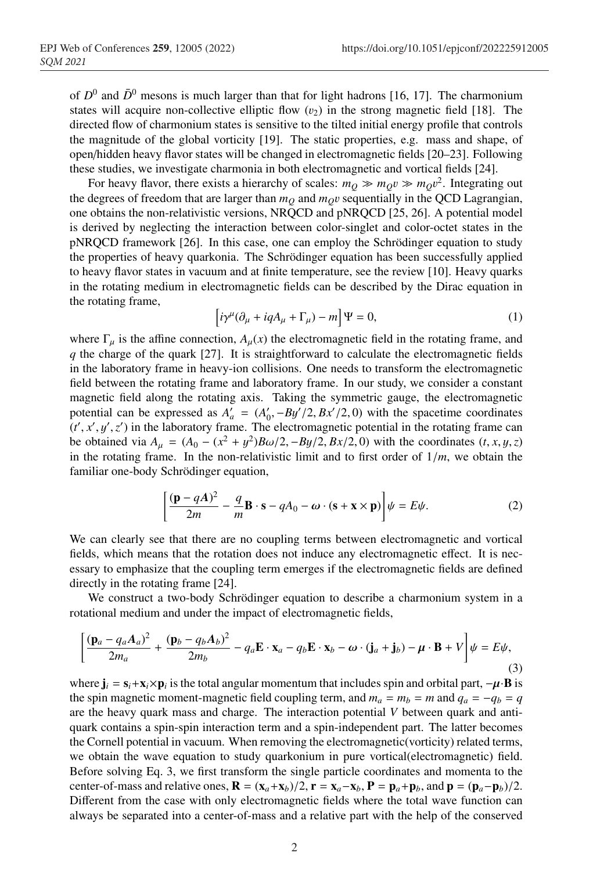of  $D^0$  and  $\bar{D}^0$  mesons is much larger than that for light hadrons [16, 17]. The charmonium states will acquire non-collective elliptic flow  $(v_2)$  in the strong magnetic field [18]. The directed flow of charmonium states is sensitive to the tilted initial energy profile that controls the magnitude of the global vorticity [19]. The static properties, e.g. mass and shape, of open/hidden heavy flavor states will be changed in electromagnetic fields [20–23]. Following these studies, we investigate charmonia in both electromagnetic and vortical fields [24].

For heavy flavor, there exists a hierarchy of scales:  $m_Q \gg m_Q v \gg m_Q v^2$ . Integrating out the degrees of freedom that are larger than  $m<sub>O</sub>$  and  $m<sub>O</sub>v$  sequentially in the QCD Lagrangian, one obtains the non-relativistic versions, NRQCD and pNRQCD [25, 26]. A potential model is derived by neglecting the interaction between color-singlet and color-octet states in the pNRQCD framework [26]. In this case, one can employ the Schrödinger equation to study the properties of heavy quarkonia. The Schrödinger equation has been successfully applied to heavy flavor states in vacuum and at finite temperature, see the review [10]. Heavy quarks in the rotating medium in electromagnetic fields can be described by the Dirac equation in the rotating frame,

$$
\left[i\gamma^{\mu}(\partial_{\mu} + iqA_{\mu} + \Gamma_{\mu}) - m\right]\Psi = 0, \tag{1}
$$

where  $\Gamma_{\mu}$  is the affine connection,  $A_{\mu}(x)$  the electromagnetic field in the rotating frame, and *q* the charge of the quark [27]. It is straightforward to calculate the electromagnetic fields in the laboratory frame in heavy-ion collisions. One needs to transform the electromagnetic field between the rotating frame and laboratory frame. In our study, we consider a constant magnetic field along the rotating axis. Taking the symmetric gauge, the electromagnetic potential can be expressed as  $A'_a = (A'_0, -By'/2, Bx'/2, 0)$  with the spacetime coordinates  $(t', x', y', z')$  in the laboratory frame. The electromagnetic potential in the rotating frame can be obtained via *A*<sub>μ</sub> =  $(A_0 - (x^2 + y^2)Bω/2, -By/2, Bx/2, 0)$  with the coordinates (*t*, *x*, *y*, *z*) in the rotating frame. In the non-relativistic limit and to first order of 1/*m*, we obtain the familiar one-body Schrödinger equation,

$$
\left[\frac{(\mathbf{p} - q\mathbf{A})^2}{2m} - \frac{q}{m}\mathbf{B} \cdot \mathbf{s} - qA_0 - \boldsymbol{\omega} \cdot (\mathbf{s} + \mathbf{x} \times \mathbf{p})\right] \psi = E\psi.
$$
 (2)

We can clearly see that there are no coupling terms between electromagnetic and vortical fields, which means that the rotation does not induce any electromagnetic effect. It is necessary to emphasize that the coupling term emerges if the electromagnetic fields are defined directly in the rotating frame [24].

We construct a two-body Schrödinger equation to describe a charmonium system in a rotational medium and under the impact of electromagnetic fields,

$$
\left[\frac{(\mathbf{p}_a - q_a \mathbf{A}_a)^2}{2m_a} + \frac{(\mathbf{p}_b - q_b \mathbf{A}_b)^2}{2m_b} - q_a \mathbf{E} \cdot \mathbf{x}_a - q_b \mathbf{E} \cdot \mathbf{x}_b - \boldsymbol{\omega} \cdot (\mathbf{j}_a + \mathbf{j}_b) - \boldsymbol{\mu} \cdot \mathbf{B} + V\right] \psi = E \psi,
$$
\n(3)

where  $\mathbf{j}_i = \mathbf{s}_i + \mathbf{x}_i \times \mathbf{p}_i$  is the total angular momentum that includes spin and orbital part,  $-\mu \cdot \mathbf{B}$  is the spin magnetic moment-magnetic field coupling term, and  $m_a = m_b = m$  and  $q_a = -q_b = q$ are the heavy quark mass and charge. The interaction potential *V* between quark and antiquark contains a spin-spin interaction term and a spin-independent part. The latter becomes the Cornell potential in vacuum. When removing the electromagnetic(vorticity) related terms, we obtain the wave equation to study quarkonium in pure vortical(electromagnetic) field. Before solving Eq. 3, we first transform the single particle coordinates and momenta to the center-of-mass and relative ones,  $\mathbf{R} = (\mathbf{x}_a + \mathbf{x}_b)/2$ ,  $\mathbf{r} = \mathbf{x}_a - \mathbf{x}_b$ ,  $\mathbf{P} = \mathbf{p}_a + \mathbf{p}_b$ , and  $\mathbf{p} = (\mathbf{p}_a - \mathbf{p}_b)/2$ . Different from the case with only electromagnetic fields where the total wave function can always be separated into a center-of-mass and a relative part with the help of the conserved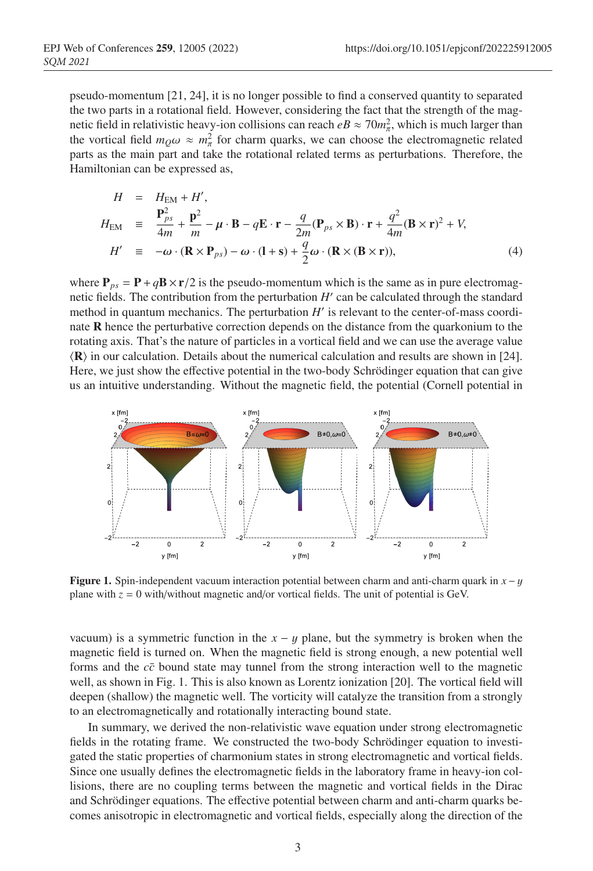pseudo-momentum [21, 24], it is no longer possible to find a conserved quantity to separated the two parts in a rotational field. However, considering the fact that the strength of the magnetic field in relativistic heavy-ion collisions can reach  $eB \approx 70 m_{\pi}^2$ , which is much larger than the vortical field  $m_Q \omega \approx m_\pi^2$  for charm quarks, we can choose the electromagnetic related parts as the main part and take the rotational related terms as perturbations. Therefore, the Hamiltonian can be expressed as,

$$
H = H_{EM} + H',
$$
  
\n
$$
H_{EM} \equiv \frac{\mathbf{P}_{ps}^2}{4m} + \frac{\mathbf{p}^2}{m} - \mu \cdot \mathbf{B} - q\mathbf{E} \cdot \mathbf{r} - \frac{q}{2m}(\mathbf{P}_{ps} \times \mathbf{B}) \cdot \mathbf{r} + \frac{q^2}{4m}(\mathbf{B} \times \mathbf{r})^2 + V,
$$
  
\n
$$
H' \equiv -\omega \cdot (\mathbf{R} \times \mathbf{P}_{ps}) - \omega \cdot (1 + s) + \frac{q}{2}\omega \cdot (\mathbf{R} \times (\mathbf{B} \times \mathbf{r})),
$$
\n(4)

where  $P_{ps} = P + qB \times r/2$  is the pseudo-momentum which is the same as in pure electromagnetic fields. The contribution from the perturbation  $H'$  can be calculated through the standard method in quantum mechanics. The perturbation  $H'$  is relevant to the center-of-mass coordinate R hence the perturbative correction depends on the distance from the quarkonium to the rotating axis. That's the nature of particles in a vortical field and we can use the average value  $\langle \mathbf{R} \rangle$  in our calculation. Details about the numerical calculation and results are shown in [24]. Here, we just show the effective potential in the two-body Schrödinger equation that can give us an intuitive understanding. Without the magnetic field, the potential (Cornell potential in



**Figure 1.** Spin-independent vacuum interaction potential between charm and anti-charm quark in  $x - y$ plane with *z* = 0 with/without magnetic and/or vortical fields. The unit of potential is GeV.

vacuum) is a symmetric function in the  $x - y$  plane, but the symmetry is broken when the magnetic field is turned on. When the magnetic field is strong enough, a new potential well forms and the *cc*¯ bound state may tunnel from the strong interaction well to the magnetic well, as shown in Fig. 1. This is also known as Lorentz ionization [20]. The vortical field will deepen (shallow) the magnetic well. The vorticity will catalyze the transition from a strongly to an electromagnetically and rotationally interacting bound state.

In summary, we derived the non-relativistic wave equation under strong electromagnetic fields in the rotating frame. We constructed the two-body Schrödinger equation to investigated the static properties of charmonium states in strong electromagnetic and vortical fields. Since one usually defines the electromagnetic fields in the laboratory frame in heavy-ion collisions, there are no coupling terms between the magnetic and vortical fields in the Dirac and Schrödinger equations. The effective potential between charm and anti-charm quarks becomes anisotropic in electromagnetic and vortical fields, especially along the direction of the